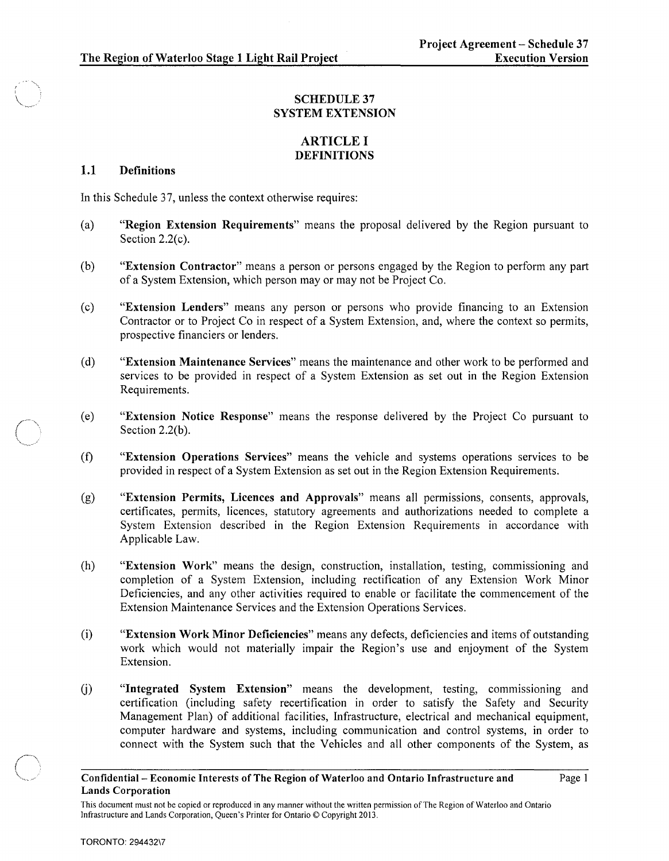# SCHEDULE 37 SYSTEM EXTENSION

# ARTICLE I DEFINITIONS

# 1.1 Definitions

In this Schedule 37, unless the context otherwise requires:

- (a) "Region Extension Requirements" means the proposal delivered by the Region pursuant to Section 2.2(c).
- (b) "Extension Contractor" means a person or persons engaged by the Region to perform any part of a System Extension, which person mayor may not be Project Co.
- ( c) "Extension Lenders" means any person or persons who provide financing to an Extension Contractor or to Project Co in respect of a System Extension, and, where the context so permits, prospective financiers or lenders.
- (d) "Extension Maintenance Services" means the maintenance and other work to be performed and services to be provided in respect of a System Extension as set out in the Region Extension Requirements.
- (e) "Extension Notice Response" means the response delivered by the Project Co pursuant to Section 2.2(b).
- (f) "Extension Operations Services" means the vehicle and systems operations services to be provided in respect of a System Extension as set out in the Region Extension Requirements.
- (g) "Extension Permits, Licences and Approvals" means all permissions, consents, approvals, certificates, permits, licences, statutory agreements and authorizations needed to complete a System Extension described in the Region Extension Requirements in accordance with Applicable Law.
- (h) "Extension Work" means the design, construction, installation, testing, commissioning and completion of a System Extension, including rectification of any Extension Work Minor Deficiencies, and any other activities required to enable or facilitate the commencement of the Extension Maintenance Services and the Extension Operations Services.
- (i) "Extension Work Minor Deficiencies" means any defects, deficiencies and items of outstanding work which would not materially impair the Region's use and enjoyment of the System Extension.
- (j) "Integrated System Extension" means the development, testing, commissioning and certification (including safety recertification in order to satisfy the Safety and Security Management Plan) of additional facilities, Infrastructure, electrical and mechanical equipment, computer hardware and systems, including communication and control systems, in order to connect with the System such that the Vehicles and all other components of the System, as

## Confidential- Economic Interests of The Region of Waterloo and Ontario Infrastructure and Lands Corporation

Page I

 $\bigcirc$ 

This document must not be copied or reproduced in any manner without the written permission of The Region of Waterloo and Ontario Infrastructure and Lands Corporation, Queen's Printer for Ontario © Copyright 2013.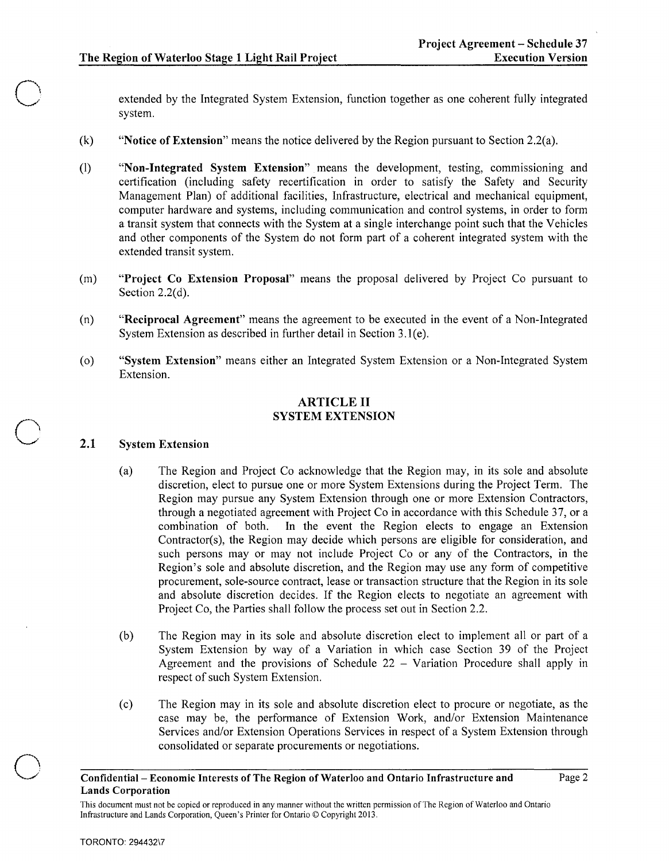o

o

o

extended by the Integrated System Extension, function together as one coherent fully integrated system.

- (k) "Notice of Extension" means the notice delivered by the Region pursuant to Section 2.2(a).
- (1) "Non-Integrated System Extension" means the development, testing, commissioning and certification (including safety recertification in order to satisfy the Safety and Security Management Plan) of additional facilities, Infrastructure, electrical and mechanical equipment, computer hardware and systems, including communication and control systems, in order to form a transit system that connects with the System at a single interchange point such that the Vehicles and other components of the System do not form part of a coherent integrated system with the extended transit system.
- (m) "Project Co Extension Proposal" means the proposal delivered by Project Co pursuant to Section 2.2(d).
- (n) "Reciprocal Agreement" means the agreement to be executed in the event of a Non-Integrated System Extension as described in further detail in Section 3.1(e).
- (0) "System Extension" means either an Integrated System Extension or a Non-Integrated System Extension.

# ARTICLE II SYSTEM EXTENSION

#### 2.1 System Extension

- (a) The Region and Project Co acknowledge that the Region may, in its sole and absolute discretion, elect to pursue one or more System Extensions during the Project Term. The Region may pursue any System Extension through one or more Extension Contractors, through a negotiated agreement with Project Co in accordance with this Schedule 37, or a combination of both. In the event the Region elects to engage an Extension Contractor(s), the Region may decide which persons are eligible for consideration, and such persons may or may not include Project Co or any of the Contractors, in the Region's sole and absolute discretion, and the Region may use any form of competitive procurement, sole-source contract, lease or transaction structure that the Region in its sole and absolute discretion decides. If the Region elects to negotiate an agreement with Project Co, the Parties shall follow the process set out in Section 2.2.
- (b) The Region may in its sole and absolute discretion elect to implement all or part of a System Extension by way of a Variation in which case Section 39 of the Project Agreement and the provisions of Schedule  $22 -$  Variation Procedure shall apply in respect of such System Extension.
- (c) The Region may in its sole and absolute discretion elect to procure or negotiate, as the case may be, the performance of Extension Work, and/or Extension Maintenance Services and/or Extension Operations Services in respect of a System Extension through consolidated or separate procurements or negotiations.

Confidential- Economic Interests of The Region of Waterloo and Ontario Infrastructure and Lands Corporation

This document must not be copied or reproduced in any manner without the written permission of The Region of Waterloo and Ontario Infrastructure and Lands Corporation, Queen's Printer for Ontario © Copyright 2013.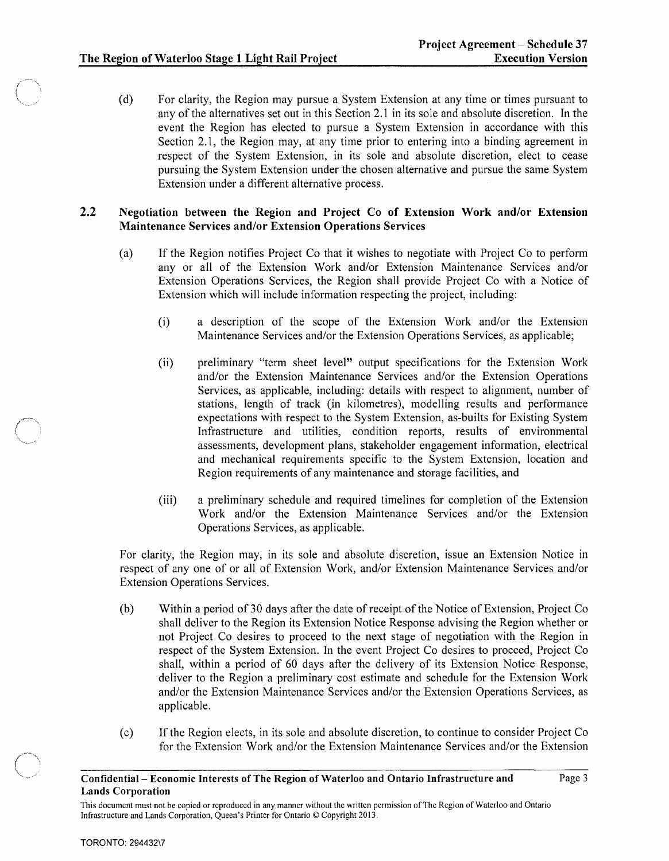(d) For clarity, the Region may pursue a System Extension at any time or times pursuant to any of the alternatives set out in this Section 2.1 in its sole and absolute discretion. In the event the Region has elected to pursue a System Extension in accordance with this Section 2.1, the Region may, at any time prior to entering into a binding agreement in respect of the System Extension, in its sole and absolute discretion, elect to cease pursuing the System Extension under the chosen alternative and pursue the same System Extension under a different alternative process.

## 2.2 Negotiation between the Region and Project Co of Extension Work and/or Extension Maintenance Services and/or Extension Operations Services

- (a) If the Region notifies Project Co that it wishes to negotiate with Project Co to perform any or all of the Extension Work and/or Extension Maintenance Services and/or Extension Operations Services, the Region shall provide Project Co with a Notice of Extension which will include information respecting the project, including:
	- (i) a description of the scope of the Extension Work and/or the Extension Maintenance Services and/or the Extension Operations Services, as applicable;
	- (ii) preliminary "term sheet level" output specifications for the Extension Work and/or the Extension Maintenance Services and/or the Extension Operations Services, as applicable, including: details with respect to alignment, number of stations, length of track (in kilometres), modelling results and performance expectations with respect to the System Extension, as-builts for Existing System Infrastructure and utilities, condition reports, results of environmental assessments, development plans, stakeholder engagement information, electrical and mechanical requirements specific to the System Extension, location and Region requirements of any maintenance and storage facilities, and
	- (iii) a preliminary schedule and required time lines for completion of the Extension Work and/or the Extension Maintenance Services and/or the Extension Operations Services, as applicable.

For clarity, the Region may, in its sole and absolute discretion, issue an Extension Notice in respect of anyone of or all of Extension Work, and/or Extension Maintenance Services and/or Extension Operations Services.

- (b) Within a period of 30 days after the date of receipt of the Notice of Extension, Project Co shall deliver to the Region its Extension Notice Response advising the Region whether or not Project Co desires to proceed to the next stage of negotiation with the Region in respect of the System Extension. In the event Project Co desires to proceed, Project Co shall, within a period of 60 days after the delivery of its Extension Notice Response, deliver to the Region a preliminary cost estimate and schedule for the Extension Work and/or the Extension Maintenance Services and/or the Extension Operations Services, as applicable.
- ( c) If the Region elects, in its sole and absolute discretion, to continue to consider Project Co for the Extension Work and/or the Extension Maintenance Services and/or the Extension

Confidential- Economic Interests of The Region of Waterloo and Ontario Infrastructure and Lands Corporation

This document must not be copied or reproduced in any manner without the written permission of The Region of Waterloo and Ontario Infrastructure and Lands Corporation, Queen's Printer for Ontario © Copyright 2013.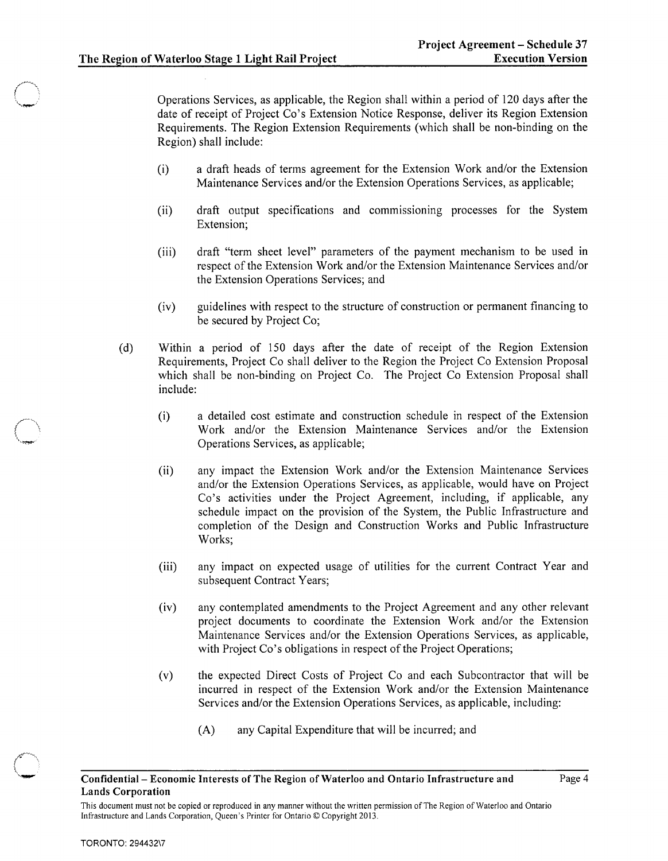Operations Services, as applicable, the Region shall within a period of 120 days after the date of receipt of Project Co's Extension Notice Response, deliver its Region Extension Requirements. The Region Extension Requirements (which shall be non-binding on the Region) shall include:

- (i) a draft heads of terms agreement for the Extension Work and/or the Extension Maintenance Services and/or the Extension Operations Services, as applicable;
- (ii) draft output specifications and commissioning processes for the System Extension;
- (iii) draft "term sheet level" parameters of the payment mechanism to be used in respect of the Extension Work and/or the Extension Maintenance Services and/or the Extension Operations Services; and
- (iv) guidelines with respect to the structure of construction or permanent financing to be secured by Project Co;
- (d) Within a period of 150 days after the date of receipt of the Region Extension Requirements, Project Co shall deliver to the Region the Project Co Extension Proposal which shall be non-binding on Project Co. The Project Co Extension Proposal shall include:
	- (i) a detailed cost estimate and construction schedule in respect of the Extension Work and/or the Extension Maintenance Services and/or the Extension Operations Services, as applicable;
	- (ii) any impact the Extension Work and/or the Extension Maintenance Services and/or the Extension Operations Services, as applicable, would have on Project Co's activities under the Project Agreement, including, if applicable, any schedule impact on the provision of the System, the Public Infrastructure and completion of the Design and Construction Works and Public Infrastructure Works;
	- (iii) any impact on expected usage of utilities for the current Contract Year and subsequent Contract Years;
	- (iv) any contemplated amendments to the Project Agreement and any other relevant project documents to coordinate the Extension Work and/or the Extension Maintenance Services and/or the Extension Operations Services, as applicable, with Project Co's obligations in respect of the Project Operations;
	- (v) the expected Direct Costs of Project Co and each Subcontractor that will be incurred in respect of the Extension Work and/or the Extension Maintenance Services and/or the Extension Operations Services, as applicable, including:
		- (A) any Capital Expenditure that will be incurred; and

### Confidential- Economic Interests of The Region of Waterloo and Ontario Infrastructure and Lands Corporation

This document must not be copied or reproduced in any manner without the written permission of The Region of Waterloo and Ontario Infrastructure and Lands Corporation, Queen's Printer for Ontario © Copyright 2013.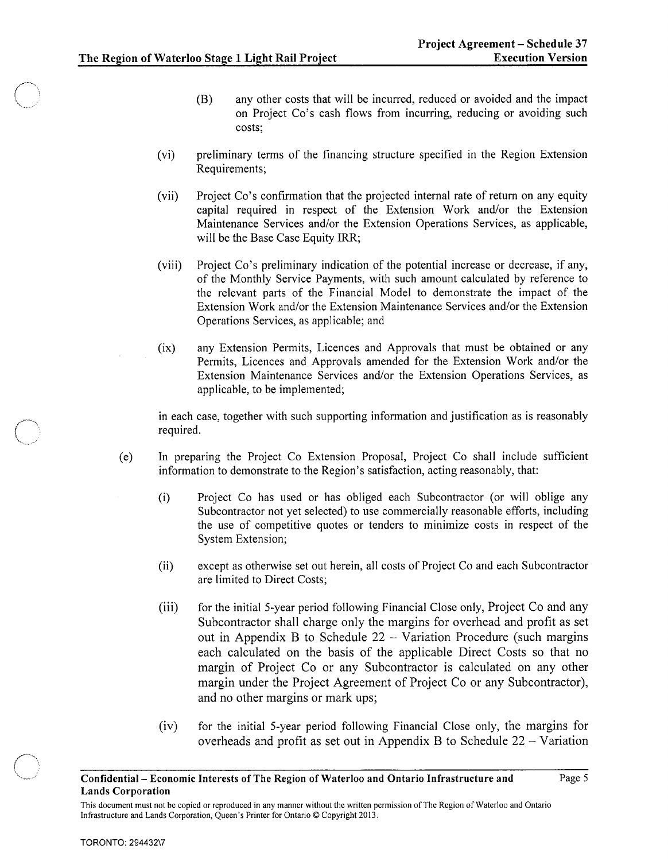- (B) any other costs that will be incurred, reduced or avoided and the impact on Project Co's cash flows from incurring, reducing or avoiding such costs;
- (vi) preliminary terms of the financing structure specified in the Region Extension Requirements;
- (vii) Project Co's confirmation that the projected internal rate of return on any equity capital required in respect of the Extension Work and/or the Extension Maintenance Services and/or the Extension Operations Services, as applicable, will be the Base Case Equity IRR;
- (viii) Project Co's preliminary indication of the potential increase or decrease, if any, of the Monthly Service Payments, with such amount calculated by reference to the relevant parts of the Financial Model to demonstrate the impact of the Extension Work and/or the Extension Maintenance Services and/or the Extension Operations Services, as applicable; and
- (ix) any Extension Permits, Licences and Approvals that must be obtained or any Permits, Licences and Approvals amended for the Extension Work and/or the Extension Maintenance Services and/or the Extension Operations Services, as applicable, to be implemented;

in each case, together with such supporting information and justification as is reasonably required.

- (e) In preparing the Project Co Extension Proposal, Project Co shall include sufficient information to demonstrate to the Region's satisfaction, acting reasonably, that:
	- (i) Project Co has used or has obliged each Subcontractor (or will oblige any Subcontractor not yet selected) to use commercially reasonable efforts, including the use of competitive quotes or tenders to minimize costs in respect of the System Extension;
	- (ii) except as otherwise set out herein, all costs of Project Co and each Subcontractor are limited to Direct Costs;
	- (iii) for the initial 5-year period following Financial Close only, Project Co and any Subcontractor shall charge only the margins for overhead and profit as set out in Appendix B to Schedule  $22 - \text{Variation}$  Procedure (such margins each calculated on the basis of the applicable Direct Costs so that no margin of Project Co or any Subcontractor is calculated on any other margin under the Project Agreement of Project Co or any Subcontractor), and no other margins or mark ups;
	- (iv) for the initial 5-year period following Financial Close only, the margins for overheads and profit as set out in Appendix B to Schedule  $22 - \text{Variation}$

Confidential- Economic Interests of The Region of Waterloo and Ontario Infrastructure and Lands Corporation

This document must not be copied or reproduced in any manner without the written permission of The Region of Waterloo and Ontario Infrastructure and Lands Corporation, Queen's Printer for Ontario © Copyright 2013.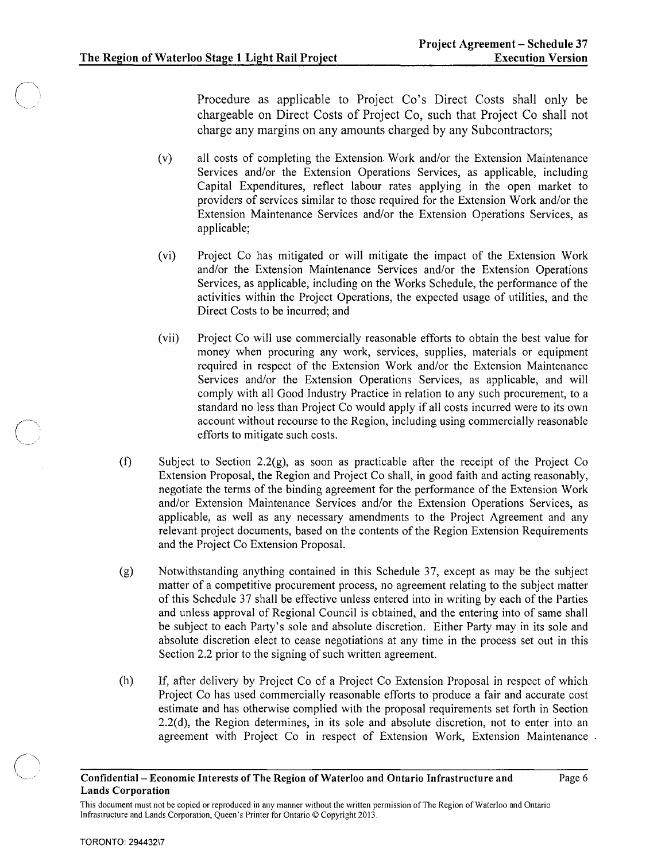Procedure as applicable to Project Co's Direct Costs shall only be chargeable on Direct Costs of Project Co, such that Project Co shall not charge any margins on any amounts charged by any Subcontractors;

- (v) all costs of completing the Extension Work and/or the Extension Maintenance Services and/or the Extension Operations Services, as applicable, including Capital Expenditures, reflect labour rates applying in the open market to providers of services similar to those required for the Extension Work and/or the Extension Maintenance Services and/or the Extension Operations Services, as applicable;
- (vi) Project Co has mitigated or will mitigate the impact of the Extension Work and/or the Extension Maintenance Services and/or the Extension Operations Services, as applicable, including on the Works Schedule, the performance of the activities within the Project Operations, the expected usage of utilities, and the Direct Costs to be incurred; and
- (vii) Project Co will use commercially reasonable efforts to obtain the best value for money when procuring any work, services, supplies, materials or equipment required in respect of the Extension Work and/or the Extension Maintenance Services and/or the Extension Operations Services, as applicable, and will comply with all Good Industry Practice in relation to any such procurement, to a standard no less than Project Co would apply if all costs incurred were to its own account without recourse to the Region, including using commercially reasonable efforts to mitigate such costs.
- (f) Subject to Section 2.2(g), as soon as practicable after the receipt of the Project Co Extension Proposal, the Region and Project Co shall, in good faith and acting reasonably, negotiate the terms of the binding agreement for the performance of the Extension Work and/or Extension Maintenance Services and/or the Extension Operations Services, as applicable, as well as any necessary amendments to the Project Agreement and any relevant project documents, based on the contents of the Region Extension Requirements and the Project Co Extension Proposal.
- (g) Notwithstanding anything contained in this Schedule 37, except as may be the subject matter of a competitive procurement process, no agreement relating to the subject matter of this Schedule 37 shall be effective unless entered into in writing by each of the Parties and unless approval of Regional Council is obtained, and the entering into of same shall be subject to each Party's sole and absolute discretion. Either Party may in its sole and absolute discretion elect to cease negotiations at any time in the process set out in this Section 2.2 prior to the signing of such written agreement.
- (h) If, after delivery by Project Co of a Project Co Extension Proposal in respect of which Project Co has used commercially reasonable efforts to produce a fair and accurate cost estimate and has otherwise complied with the proposal requirements set forth in Section 2.2(d), the Region determines, in its sole and absolute discretion, not to enter into an agreement with Project Co in respect of Extension Work, Extension Maintenance

### Confidential- Economic Interests of The Region of Waterloo and Ontario Infrastructure and Lands Corporation

This document must not be copied or reproduced in any manner without the written permission of The Region of Waterloo and Ontario Infrastructure and Lands Corporation, Queen's Printer for Ontario © Copyright 2013.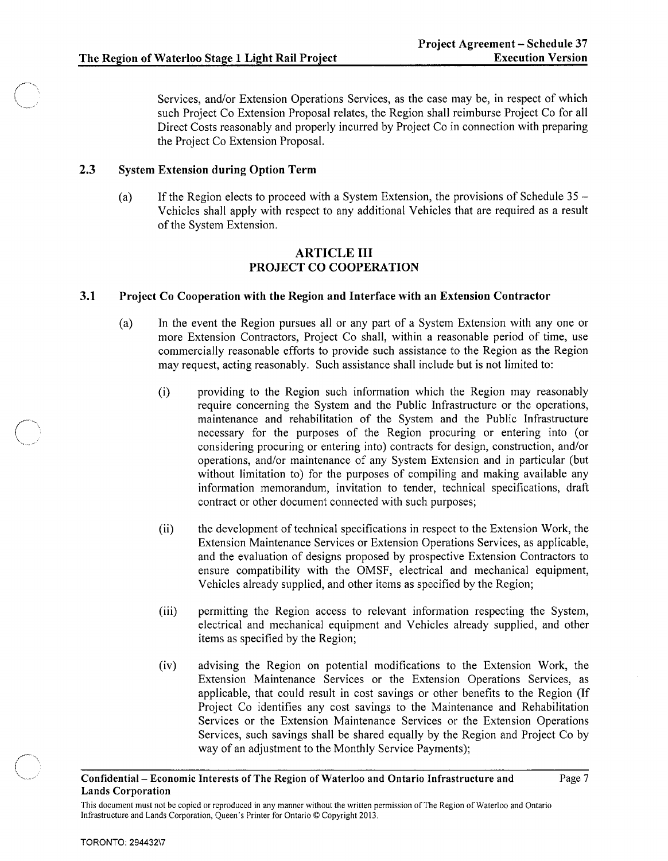Services, and/or Extension Operations Services, as the case may be, in respect of which such Project Co Extension Proposal relates, the Region shall reimburse Project Co for all Direct Costs reasonably and properly incurred by Project Co in connection with preparing the Project Co Extension Proposal.

#### 2.3 System Extension during Option Term

(a) If the Region elects to proceed with a System Extension, the provisions of Schedule  $35 -$ Vehicles shall apply with respect to any additional Vehicles that are required as a result of the System Extension.

# ARTICLE **III**  PROJECT CO COOPERATION

# 3.1 Project Co Cooperation with the Region and Interface with an Extension Contractor

- (a) In the event the Region pursues all or any part of a System Extension with anyone or more Extension Contractors, Project Co shall, within a reasonable period of time, use commercially reasonable efforts to provide such assistance to the Region as the Region may request, acting reasonably. Such assistance shall include but is not limited to:
	- (i) providing to the Region such information which the Region may reasonably require concerning the System and the Public Infrastructure or the operations, maintenance and rehabilitation of the System and the Public Infrastructure necessary for the purposes of the Region procuring or entering into (or considering procuring or entering into) contracts for design, construction, and/or operations, and/or maintenance of any System Extension and in particular (but without limitation to) for the purposes of compiling and making available any information memorandum, invitation to tender, technical specifications, draft contract or other document connected with such purposes;
	- (ii) the development of technical specifications in respect to the Extension Work, the Extension Maintenance Services or Extension Operations Services, as applicable, and the evaluation of designs proposed by prospective Extension Contractors to ensure compatibility with the OMSF, electrical and mechanical equipment, Vehicles already supplied, and other items as specified by the Region;
	- (iii) permitting the Region access to relevant information respecting the System, electrical and mechanical equipment and Vehicles already supplied, and other items as specified by the Region;
	- (iv) advising the Region on potential modifications to the Extension Work, the Extension Maintenance Services or the Extension Operations Services, as applicable, that could result in cost savings or other benefits to the Region (If Project Co identifies any cost savings to the Maintenance and Rehabilitation Services or the Extension Maintenance Services or the Extension Operations Services, such savings shall be shared equally by the Region and Project Co by way of an adjustment to the Monthly Service Payments);

## Confidential- Economic Interests of The Region of Waterloo and Ontario Infrastructure and Lands Corporation

This document must not be copied or reproduced in any manner without the written permission of The Region of Waterloo and Ontario Infrastructure and Lands Corporation, Queen's Printer for Ontario © Copyright 2013.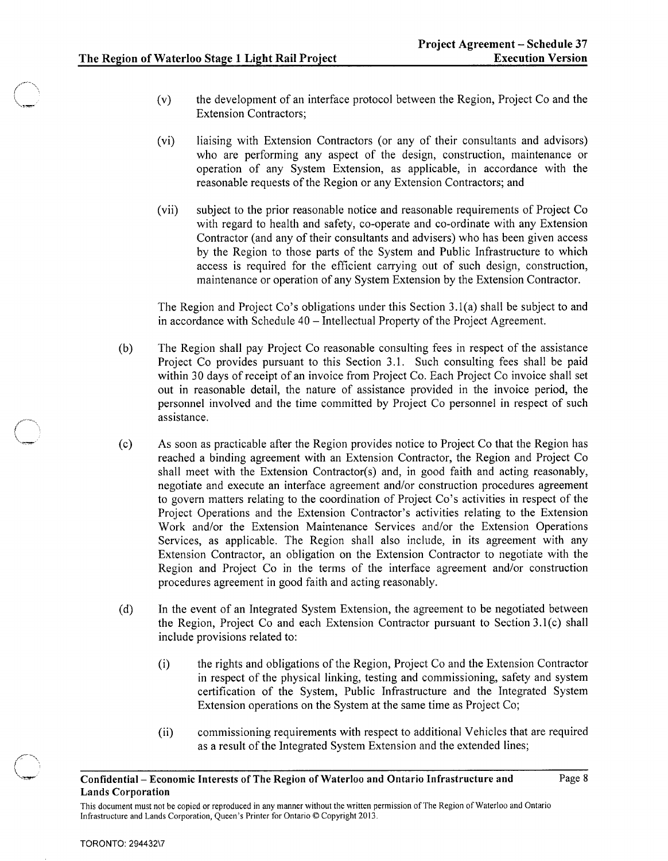- (v) the development of an interface protocol between the Region, Project Co and the Extension Contractors;
- (vi) liaising with Extension Contractors (or any of their consultants and advisors) who are performing any aspect of the design, construction, maintenance or operation of any System Extension, as applicable, in accordance with the reasonable requests of the Region or any Extension Contractors; and
- (vii) subject to the prior reasonable notice and reasonable requirements of Project Co with regard to health and safety, co-operate and co-ordinate with any Extension Contractor (and any of their consultants and advisers) who has been given access by the Region to those parts of the System and Public Infrastructure to which access is required for the efficient carrying out of such design, construction, maintenance or operation of any System Extension by the Extension Contractor.

The Region and Project Co's obligations under this Section 3.1(a) shall be subject to and in accordance with Schedule 40 -Intellectual Property of the Project Agreement.

- (b) The Region shall pay Project Co reasonable consulting fees in respect of the assistance Project Co provides pursuant to this Section 3.1. Such consulting fees shall be paid within 30 days of receipt of an invoice from Project Co. Each Project Co invoice shall set out in reasonable detail, the nature of assistance provided in the invoice period, the personnel involved and the time committed by Project Co personnel in respect of such assistance.
- (c) As soon as practicable after the Region provides notice to Project Co that the Region has reached a binding agreement with an Extension Contractor, the Region and Project Co shall meet with the Extension Contractor(s) and, in good faith and acting reasonably, negotiate and execute an interface agreement and/or construction procedures agreement to govern matters relating to the coordination of Project Co's activities in respect of the Project Operations and the Extension Contractor's activities relating to the Extension Work and/or the Extension Maintenance Services and/or the Extension Operations Services, as applicable. The Region shall also include, in its agreement with any Extension Contractor, an obligation on the Extension Contractor to negotiate with the Region and Project Co in the terms of the interface agreement and/or construction procedures agreement in good faith and acting reasonably.
- (d) In the event of an Integrated System Extension, the agreement to be negotiated between the Region, Project Co and each Extension Contractor pursuant to Section 3.1(c) shall include provisions related to:
	- (i) the rights and obligations of the Region, Project Co and the Extension Contractor in respect of the physical linking, testing and commissioning, safety and system certification of the System, Public Infrastructure and the Integrated System Extension operations on the System at the same time as Project Co;
	- (ii) commissioning requirements with respect to additional Vehicles that are required as a result of the Integrated System Extension and the extended lines;

Confidential- Economic Interests of The Region of Waterloo and Ontario Infrastructure and Lands Corporation

This document must not be copied or reproduced in any manner without the written permission of The Region of Waterloo and Ontario Infrastructure and Lands Corporation, Queen's Printer for Ontario © Copyright 2013.